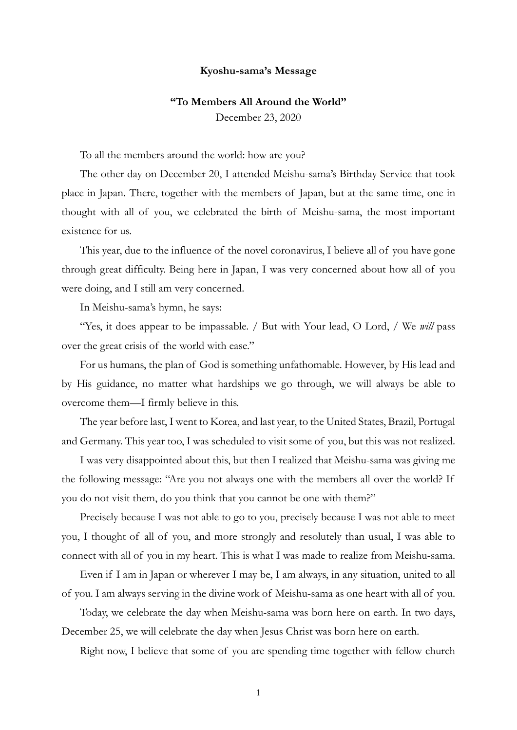## **Kyoshu-sama's Message**

## **"To Members All Around the World"**

December 23, 2020

To all the members around the world: how are you?

The other day on December 20, I attended Meishu-sama's Birthday Service that took place in Japan. There, together with the members of Japan, but at the same time, one in thought with all of you, we celebrated the birth of Meishu-sama, the most important existence for us.

This year, due to the influence of the novel coronavirus, I believe all of you have gone through great difficulty. Being here in Japan, I was very concerned about how all of you were doing, and I still am very concerned.

In Meishu-sama's hymn, he says:

"Yes, it does appear to be impassable. / But with Your lead, O Lord, / We *will* pass over the great crisis of the world with ease."

For us humans, the plan of God is something unfathomable. However, by His lead and by His guidance, no matter what hardships we go through, we will always be able to overcome them—I firmly believe in this.

The year before last, I went to Korea, and last year, to the United States, Brazil, Portugal and Germany. This year too, I was scheduled to visit some of you, but this was not realized.

I was very disappointed about this, but then I realized that Meishu-sama was giving me the following message: "Are you not always one with the members all over the world? If you do not visit them, do you think that you cannot be one with them?"

Precisely because I was not able to go to you, precisely because I was not able to meet you, I thought of all of you, and more strongly and resolutely than usual, I was able to connect with all of you in my heart. This is what I was made to realize from Meishu-sama.

Even if I am in Japan or wherever I may be, I am always, in any situation, united to all of you. I am always serving in the divine work of Meishu-sama as one heart with all of you.

Today, we celebrate the day when Meishu-sama was born here on earth. In two days, December 25, we will celebrate the day when Jesus Christ was born here on earth.

Right now, I believe that some of you are spending time together with fellow church